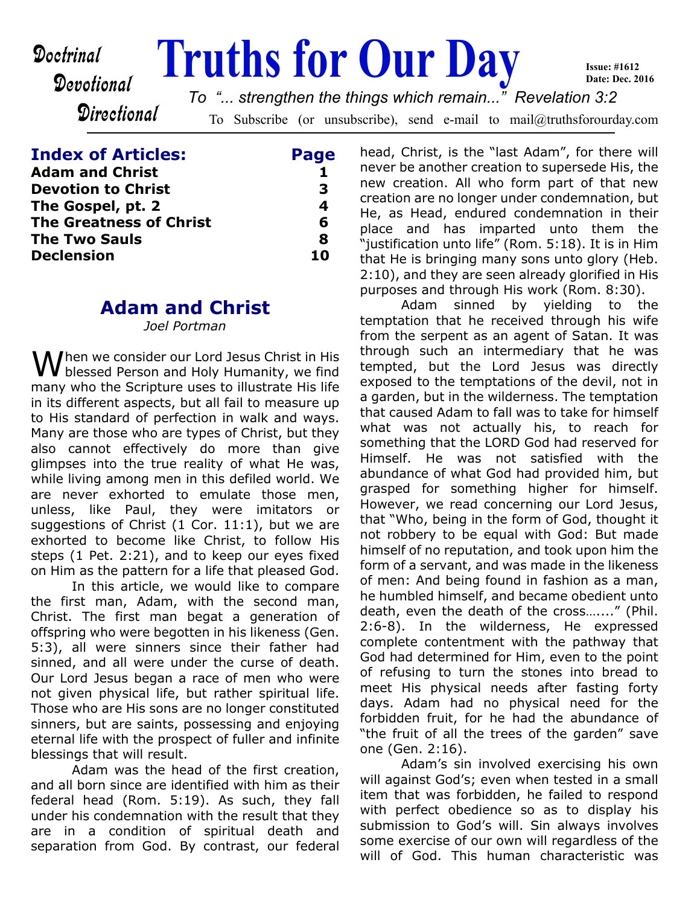# Devotional

**Doctrinal Truths for Our Day** 

**Directional** 

To Subscribe (or unsubscribe), send e-mail to mail@truthsforourday.com *To "... strengthen the things which remain..." Revelation 3:2*

| <b>Index of Articles:</b>                      | Page   |
|------------------------------------------------|--------|
| <b>Adam and Christ</b>                         |        |
| <b>Devotion to Christ</b><br>The Gospel, pt. 2 | З<br>4 |
|                                                |        |
| <b>The Two Sauls</b>                           | Я      |
| <b>Declension</b>                              | 10     |

## **Adam and Christ**

*Joel Portman*

 $M$ hen we consider our Lord Jesus Christ in His blessed Person and Holy Humanity, we find many who the Scripture uses to illustrate His life in its different aspects, but all fail to measure up to His standard of perfection in walk and ways. Many are those who are types of Christ, but they also cannot effectively do more than give glimpses into the true reality of what He was, while living among men in this defiled world. We are never exhorted to emulate those men, unless, like Paul, they were imitators or suggestions of Christ (1 Cor. 11:1), but we are exhorted to become like Christ, to follow His steps (1 Pet. 2:21), and to keep our eyes fixed on Him as the pattern for a life that pleased God.

 In this article, we would like to compare the first man, Adam, with the second man, Christ. The first man begat a generation of offspring who were begotten in his likeness (Gen. 5:3), all were sinners since their father had sinned, and all were under the curse of death. Our Lord Jesus began a race of men who were not given physical life, but rather spiritual life. Those who are His sons are no longer constituted sinners, but are saints, possessing and enjoying eternal life with the prospect of fuller and infinite blessings that will result.

 Adam was the head of the first creation, and all born since are identified with him as their federal head (Rom. 5:19). As such, they fall under his condemnation with the result that they are in a condition of spiritual death and separation from God. By contrast, our federal head, Christ, is the "last Adam", for there will never be another creation to supersede His, the new creation. All who form part of that new creation are no longer under condemnation, but He, as Head, endured condemnation in their place and has imparted unto them the "justification unto life" (Rom. 5:18). It is in Him that He is bringing many sons unto glory (Heb. 2:10), and they are seen already glorified in His purposes and through His work (Rom. 8:30).

**Issue: #1612 Date: Dec. 2016**

Adam sinned by yielding to the temptation that he received through his wife from the serpent as an agent of Satan. It was through such an intermediary that he was tempted, but the Lord Jesus was directly exposed to the temptations of the devil, not in a garden, but in the wilderness. The temptation that caused Adam to fall was to take for himself what was not actually his, to reach for something that the LORD God had reserved for Himself. He was not satisfied with the abundance of what God had provided him, but grasped for something higher for himself. However, we read concerning our Lord Jesus, that "Who, being in the form of God, thought it not robbery to be equal with God: But made himself of no reputation, and took upon him the form of a servant, and was made in the likeness of men: And being found in fashion as a man, he humbled himself, and became obedient unto death, even the death of the cross…...." (Phil. 2:6-8). In the wilderness, He expressed complete contentment with the pathway that God had determined for Him, even to the point of refusing to turn the stones into bread to meet His physical needs after fasting forty days. Adam had no physical need for the forbidden fruit, for he had the abundance of "the fruit of all the trees of the garden" save one (Gen. 2:16).

 Adam's sin involved exercising his own will against God's; even when tested in a small item that was forbidden, he failed to respond with perfect obedience so as to display his submission to God's will. Sin always involves some exercise of our own will regardless of the will of God. This human characteristic was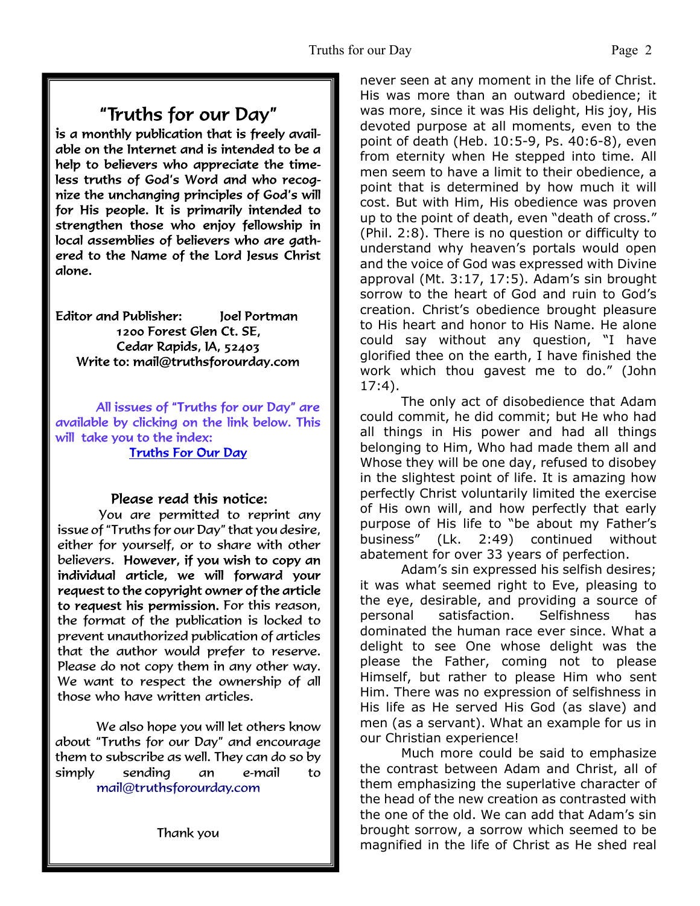# "Truths for our Day"

is a monthly publication that is freely available on the Internet and is intended to be a help to believers who appreciate the timeless truths of God's Word and who recognize the unchanging principles of God's will for His people. It is primarily intended to strengthen those who enjoy fellowship in local assemblies of believers who are gathered to the Name of the Lord Jesus Christ alone.

**Editor and Publisher:** Joel Portman 1200 Forest Glen Ct. SE, Cedar Rapids, IA, 52403 Write to: mail@truthsforourday.com

All issues of "Truths for our Day" are available by clicking on the link below. This will take you to the index: **Truths For Our Day** 

#### Please read this notice:

You are permitted to reprint any issue of "Truths for our Day" that you desire, either for yourself, or to share with other believers. However, if you wish to copy an individual article, we will forward your request to the copyright owner of the article to request his permission. For this reason, the format of the publication is locked to prevent unauthorized publication of articles that the author would prefer to reserve. Please do not copy them in any other way. We want to respect the ownership of all those who have written articles.

 We also hope you will let others know about "Truths for our Day" and encourage them to subscribe as well. They can do so by simply sending an e-mail to mail@truthsforourday.com

never seen at any moment in the life of Christ. His was more than an outward obedience; it was more, since it was His delight, His joy, His devoted purpose at all moments, even to the point of death (Heb. 10:5-9, Ps. 40:6-8), even from eternity when He stepped into time. All men seem to have a limit to their obedience, a point that is determined by how much it will cost. But with Him, His obedience was proven up to the point of death, even "death of cross." (Phil. 2:8). There is no question or difficulty to understand why heaven's portals would open and the voice of God was expressed with Divine approval (Mt. 3:17, 17:5). Adam's sin brought sorrow to the heart of God and ruin to God's creation. Christ's obedience brought pleasure to His heart and honor to His Name. He alone could say without any question, "I have glorified thee on the earth, I have finished the work which thou gavest me to do." (John 17:4).

 The only act of disobedience that Adam could commit, he did commit; but He who had all things in His power and had all things belonging to Him, Who had made them all and Whose they will be one day, refused to disobey in the slightest point of life. It is amazing how perfectly Christ voluntarily limited the exercise of His own will, and how perfectly that early purpose of His life to "be about my Father's business" (Lk. 2:49) continued without abatement for over 33 years of perfection.

 Adam's sin expressed his selfish desires; it was what seemed right to Eve, pleasing to the eye, desirable, and providing a source of personal satisfaction. Selfishness has dominated the human race ever since. What a delight to see One whose delight was the please the Father, coming not to please Himself, but rather to please Him who sent Him. There was no expression of selfishness in His life as He served His God (as slave) and men (as a servant). What an example for us in our Christian experience!

 Much more could be said to emphasize the contrast between Adam and Christ, all of them emphasizing the superlative character of the head of the new creation as contrasted with the one of the old. We can add that Adam's sin brought sorrow, a sorrow which seemed to be magnified in the life of Christ as He shed real

Thank you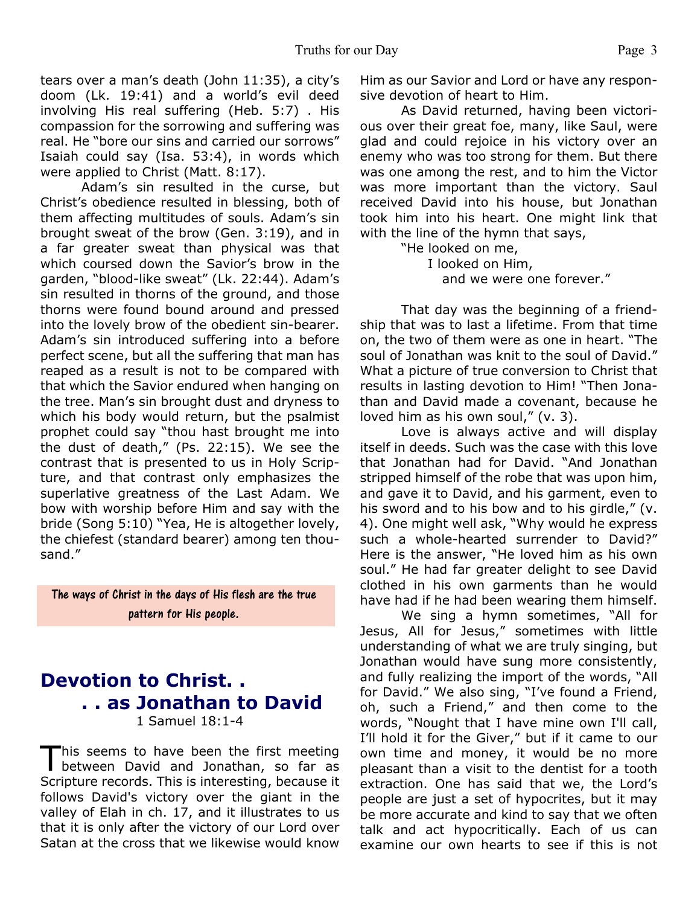tears over a man's death (John 11:35), a city's doom (Lk. 19:41) and a world's evil deed involving His real suffering (Heb. 5:7) . His compassion for the sorrowing and suffering was real. He "bore our sins and carried our sorrows" Isaiah could say (Isa. 53:4), in words which were applied to Christ (Matt. 8:17).

 Adam's sin resulted in the curse, but Christ's obedience resulted in blessing, both of them affecting multitudes of souls. Adam's sin brought sweat of the brow (Gen. 3:19), and in a far greater sweat than physical was that which coursed down the Savior's brow in the garden, "blood-like sweat" (Lk. 22:44). Adam's sin resulted in thorns of the ground, and those thorns were found bound around and pressed into the lovely brow of the obedient sin-bearer. Adam's sin introduced suffering into a before perfect scene, but all the suffering that man has reaped as a result is not to be compared with that which the Savior endured when hanging on the tree. Man's sin brought dust and dryness to which his body would return, but the psalmist prophet could say "thou hast brought me into the dust of death," (Ps. 22:15). We see the contrast that is presented to us in Holy Scripture, and that contrast only emphasizes the superlative greatness of the Last Adam. We bow with worship before Him and say with the bride (Song 5:10) "Yea, He is altogether lovely, the chiefest (standard bearer) among ten thousand."

The ways of Christ in the days of His flesh are the true pattern for His people.

## **Devotion to Christ. . . . as Jonathan to David** 1 Samuel 18:1-4

This seems to have been the first meeting<br>between David and Jonathan, so far as his seems to have been the first meeting Scripture records. This is interesting, because it follows David's victory over the giant in the valley of Elah in ch. 17, and it illustrates to us that it is only after the victory of our Lord over Satan at the cross that we likewise would know

Him as our Savior and Lord or have any responsive devotion of heart to Him.

 As David returned, having been victorious over their great foe, many, like Saul, were glad and could rejoice in his victory over an enemy who was too strong for them. But there was one among the rest, and to him the Victor was more important than the victory. Saul received David into his house, but Jonathan took him into his heart. One might link that with the line of the hymn that says,

> "He looked on me, I looked on Him, and we were one forever."

That day was the beginning of a friendship that was to last a lifetime. From that time on, the two of them were as one in heart. "The soul of Jonathan was knit to the soul of David." What a picture of true conversion to Christ that results in lasting devotion to Him! "Then Jonathan and David made a covenant, because he loved him as his own soul," (v. 3).

 Love is always active and will display itself in deeds. Such was the case with this love that Jonathan had for David. "And Jonathan stripped himself of the robe that was upon him, and gave it to David, and his garment, even to his sword and to his bow and to his girdle," (v. 4). One might well ask, "Why would he express such a whole-hearted surrender to David?" Here is the answer, "He loved him as his own soul." He had far greater delight to see David clothed in his own garments than he would have had if he had been wearing them himself.

 We sing a hymn sometimes, "All for Jesus, All for Jesus," sometimes with little understanding of what we are truly singing, but Jonathan would have sung more consistently, and fully realizing the import of the words, "All for David." We also sing, "I've found a Friend, oh, such a Friend," and then come to the words, "Nought that I have mine own I'll call, I'll hold it for the Giver," but if it came to our own time and money, it would be no more pleasant than a visit to the dentist for a tooth extraction. One has said that we, the Lord's people are just a set of hypocrites, but it may be more accurate and kind to say that we often talk and act hypocritically. Each of us can examine our own hearts to see if this is not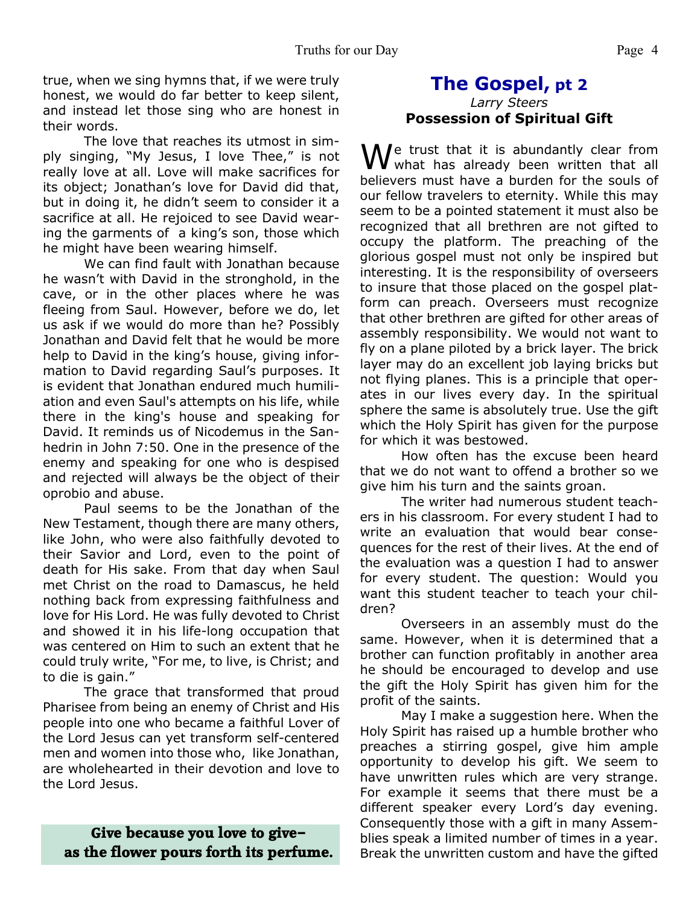true, when we sing hymns that, if we were truly honest, we would do far better to keep silent, and instead let those sing who are honest in their words.

 The love that reaches its utmost in simply singing, "My Jesus, I love Thee," is not really love at all. Love will make sacrifices for its object; Jonathan's love for David did that, but in doing it, he didn't seem to consider it a sacrifice at all. He rejoiced to see David wearing the garments of a king's son, those which he might have been wearing himself.

 We can find fault with Jonathan because he wasn't with David in the stronghold, in the cave, or in the other places where he was fleeing from Saul. However, before we do, let us ask if we would do more than he? Possibly Jonathan and David felt that he would be more help to David in the king's house, giving information to David regarding Saul's purposes. It is evident that Jonathan endured much humiliation and even Saul's attempts on his life, while there in the king's house and speaking for David. It reminds us of Nicodemus in the Sanhedrin in John 7:50. One in the presence of the enemy and speaking for one who is despised and rejected will always be the object of their oprobio and abuse.

 Paul seems to be the Jonathan of the New Testament, though there are many others, like John, who were also faithfully devoted to their Savior and Lord, even to the point of death for His sake. From that day when Saul met Christ on the road to Damascus, he held nothing back from expressing faithfulness and love for His Lord. He was fully devoted to Christ and showed it in his life-long occupation that was centered on Him to such an extent that he could truly write, "For me, to live, is Christ; and to die is gain."

 The grace that transformed that proud Pharisee from being an enemy of Christ and His people into one who became a faithful Lover of the Lord Jesus can yet transform self-centered men and women into those who, like Jonathan, are wholehearted in their devotion and love to the Lord Jesus.

#### **Give because you love to give– as the flower pours forth its perfume.**

#### **The Gospel, pt 2** *Larry Steers* **Possession of Spiritual Gift**

 $\bigvee$ e trust that it is abundantly clear from what has already been written that all believers must have a burden for the souls of our fellow travelers to eternity. While this may seem to be a pointed statement it must also be recognized that all brethren are not gifted to occupy the platform. The preaching of the glorious gospel must not only be inspired but interesting. It is the responsibility of overseers to insure that those placed on the gospel platform can preach. Overseers must recognize that other brethren are gifted for other areas of assembly responsibility. We would not want to fly on a plane piloted by a brick layer. The brick layer may do an excellent job laying bricks but not flying planes. This is a principle that operates in our lives every day. In the spiritual sphere the same is absolutely true. Use the gift which the Holy Spirit has given for the purpose for which it was bestowed.

 How often has the excuse been heard that we do not want to offend a brother so we give him his turn and the saints groan.

 The writer had numerous student teachers in his classroom. For every student I had to write an evaluation that would bear consequences for the rest of their lives. At the end of the evaluation was a question I had to answer for every student. The question: Would you want this student teacher to teach your children?

 Overseers in an assembly must do the same. However, when it is determined that a brother can function profitably in another area he should be encouraged to develop and use the gift the Holy Spirit has given him for the profit of the saints.

 May I make a suggestion here. When the Holy Spirit has raised up a humble brother who preaches a stirring gospel, give him ample opportunity to develop his gift. We seem to have unwritten rules which are very strange. For example it seems that there must be a different speaker every Lord's day evening. Consequently those with a gift in many Assemblies speak a limited number of times in a year. Break the unwritten custom and have the gifted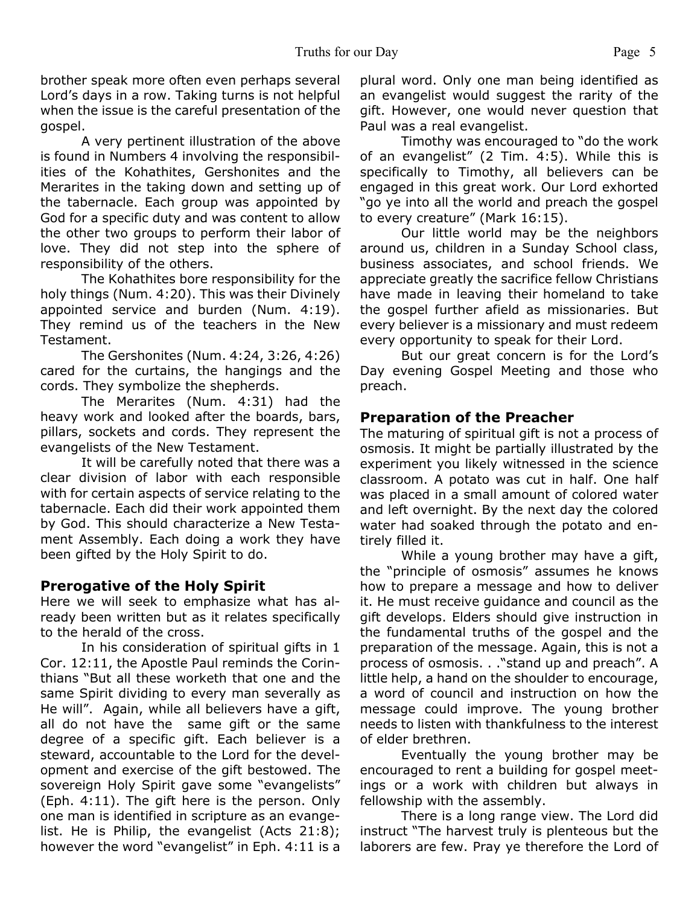brother speak more often even perhaps several Lord's days in a row. Taking turns is not helpful when the issue is the careful presentation of the gospel.

 A very pertinent illustration of the above is found in Numbers 4 involving the responsibilities of the Kohathites, Gershonites and the Merarites in the taking down and setting up of the tabernacle. Each group was appointed by God for a specific duty and was content to allow the other two groups to perform their labor of love. They did not step into the sphere of responsibility of the others.

 The Kohathites bore responsibility for the holy things (Num. 4:20). This was their Divinely appointed service and burden (Num. 4:19). They remind us of the teachers in the New Testament.

 The Gershonites (Num. 4:24, 3:26, 4:26) cared for the curtains, the hangings and the cords. They symbolize the shepherds.

 The Merarites (Num. 4:31) had the heavy work and looked after the boards, bars, pillars, sockets and cords. They represent the evangelists of the New Testament.

 It will be carefully noted that there was a clear division of labor with each responsible with for certain aspects of service relating to the tabernacle. Each did their work appointed them by God. This should characterize a New Testament Assembly. Each doing a work they have been gifted by the Holy Spirit to do.

#### **Prerogative of the Holy Spirit**

Here we will seek to emphasize what has already been written but as it relates specifically to the herald of the cross.

 In his consideration of spiritual gifts in 1 Cor. 12:11, the Apostle Paul reminds the Corinthians "But all these worketh that one and the same Spirit dividing to every man severally as He will". Again, while all believers have a gift, all do not have the same gift or the same degree of a specific gift. Each believer is a steward, accountable to the Lord for the development and exercise of the gift bestowed. The sovereign Holy Spirit gave some "evangelists" (Eph. 4:11). The gift here is the person. Only one man is identified in scripture as an evangelist. He is Philip, the evangelist (Acts 21:8); however the word "evangelist" in Eph. 4:11 is a plural word. Only one man being identified as an evangelist would suggest the rarity of the gift. However, one would never question that Paul was a real evangelist.

 Timothy was encouraged to "do the work of an evangelist" (2 Tim. 4:5). While this is specifically to Timothy, all believers can be engaged in this great work. Our Lord exhorted "go ye into all the world and preach the gospel to every creature" (Mark 16:15).

 Our little world may be the neighbors around us, children in a Sunday School class, business associates, and school friends. We appreciate greatly the sacrifice fellow Christians have made in leaving their homeland to take the gospel further afield as missionaries. But every believer is a missionary and must redeem every opportunity to speak for their Lord.

 But our great concern is for the Lord's Day evening Gospel Meeting and those who preach.

#### **Preparation of the Preacher**

The maturing of spiritual gift is not a process of osmosis. It might be partially illustrated by the experiment you likely witnessed in the science classroom. A potato was cut in half. One half was placed in a small amount of colored water and left overnight. By the next day the colored water had soaked through the potato and entirely filled it.

 While a young brother may have a gift, the "principle of osmosis" assumes he knows how to prepare a message and how to deliver it. He must receive guidance and council as the gift develops. Elders should give instruction in the fundamental truths of the gospel and the preparation of the message. Again, this is not a process of osmosis. . ."stand up and preach". A little help, a hand on the shoulder to encourage, a word of council and instruction on how the message could improve. The young brother needs to listen with thankfulness to the interest of elder brethren.

 Eventually the young brother may be encouraged to rent a building for gospel meetings or a work with children but always in fellowship with the assembly.

 There is a long range view. The Lord did instruct "The harvest truly is plenteous but the laborers are few. Pray ye therefore the Lord of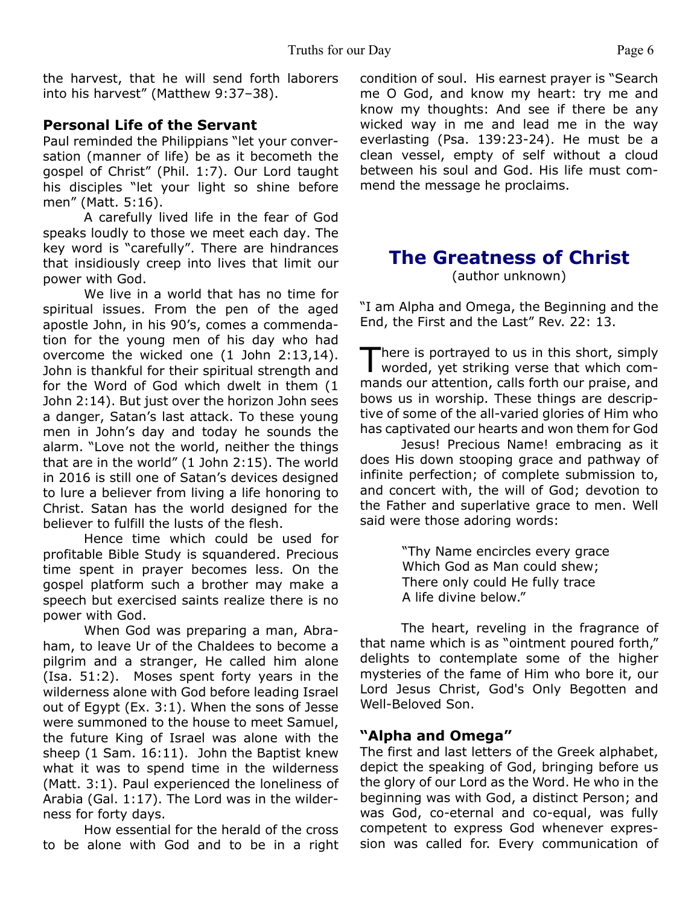the harvest, that he will send forth laborers into his harvest" (Matthew 9:37–38).

#### **Personal Life of the Servant**

Paul reminded the Philippians "let your conversation (manner of life) be as it becometh the gospel of Christ" (Phil. 1:7). Our Lord taught his disciples "let your light so shine before men" (Matt. 5:16).

 A carefully lived life in the fear of God speaks loudly to those we meet each day. The key word is "carefully". There are hindrances that insidiously creep into lives that limit our power with God.

 We live in a world that has no time for spiritual issues. From the pen of the aged apostle John, in his 90's, comes a commendation for the young men of his day who had overcome the wicked one (1 John 2:13,14). John is thankful for their spiritual strength and for the Word of God which dwelt in them (1 John 2:14). But just over the horizon John sees a danger, Satan's last attack. To these young men in John's day and today he sounds the alarm. "Love not the world, neither the things that are in the world" (1 John 2:15). The world in 2016 is still one of Satan's devices designed to lure a believer from living a life honoring to Christ. Satan has the world designed for the believer to fulfill the lusts of the flesh.

 Hence time which could be used for profitable Bible Study is squandered. Precious time spent in prayer becomes less. On the gospel platform such a brother may make a speech but exercised saints realize there is no power with God.

 When God was preparing a man, Abraham, to leave Ur of the Chaldees to become a pilgrim and a stranger, He called him alone (Isa. 51:2). Moses spent forty years in the wilderness alone with God before leading Israel out of Egypt (Ex. 3:1). When the sons of Jesse were summoned to the house to meet Samuel, the future King of Israel was alone with the sheep (1 Sam. 16:11). John the Baptist knew what it was to spend time in the wilderness (Matt. 3:1). Paul experienced the loneliness of Arabia (Gal. 1:17). The Lord was in the wilderness for forty days.

 How essential for the herald of the cross to be alone with God and to be in a right condition of soul. His earnest prayer is "Search me O God, and know my heart: try me and know my thoughts: And see if there be any wicked way in me and lead me in the way everlasting (Psa. 139:23-24). He must be a clean vessel, empty of self without a cloud between his soul and God. His life must commend the message he proclaims.

# **The Greatness of Christ**

(author unknown)

"I am Alpha and Omega, the Beginning and the End, the First and the Last" Rev. 22: 13.

There is portrayed to us in this short, simply<br>worded, yet striking verse that which comhere is portrayed to us in this short, simply mands our attention, calls forth our praise, and bows us in worship. These things are descriptive of some of the all-varied glories of Him who has captivated our hearts and won them for God

 Jesus! Precious Name! embracing as it does His down stooping grace and pathway of infinite perfection; of complete submission to, and concert with, the will of God; devotion to the Father and superlative grace to men. Well said were those adoring words:

> "Thy Name encircles every grace Which God as Man could shew; There only could He fully trace A life divine below."

The heart, reveling in the fragrance of that name which is as "ointment poured forth," delights to contemplate some of the higher mysteries of the fame of Him who bore it, our Lord Jesus Christ, God's Only Begotten and Well-Beloved Son.

#### **"Alpha and Omega"**

The first and last letters of the Greek alphabet, depict the speaking of God, bringing before us the glory of our Lord as the Word. He who in the beginning was with God, a distinct Person; and was God, co-eternal and co-equal, was fully competent to express God whenever expression was called for. Every communication of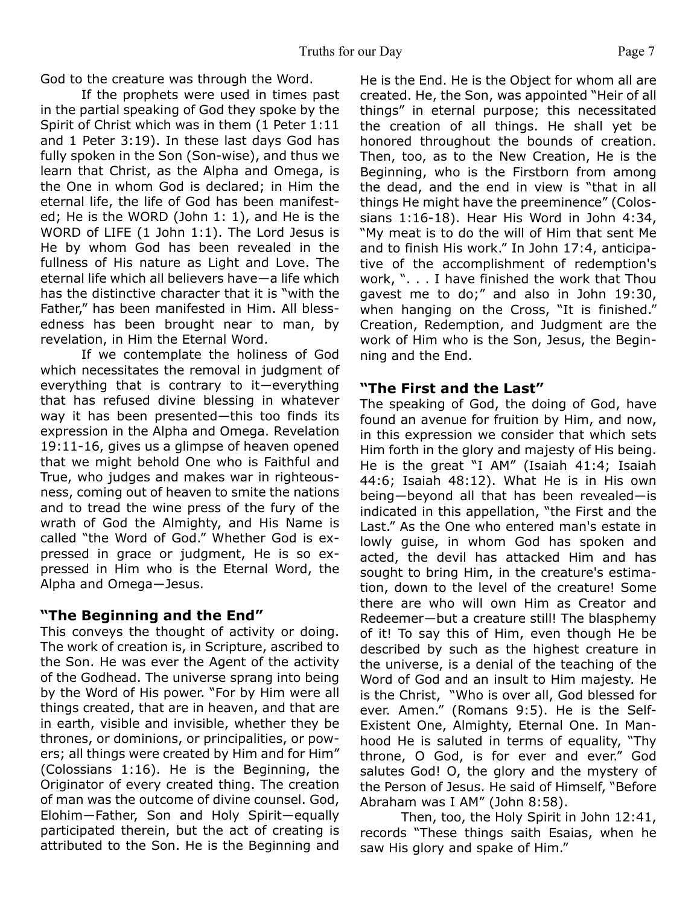God to the creature was through the Word.

 If the prophets were used in times past in the partial speaking of God they spoke by the Spirit of Christ which was in them (1 Peter 1:11 and 1 Peter 3:19). In these last days God has fully spoken in the Son (Son-wise), and thus we learn that Christ, as the Alpha and Omega, is the One in whom God is declared; in Him the eternal life, the life of God has been manifested; He is the WORD (John 1: 1), and He is the WORD of LIFE (1 John 1:1). The Lord Jesus is He by whom God has been revealed in the fullness of His nature as Light and Love. The eternal life which all believers have―a life which has the distinctive character that it is "with the Father," has been manifested in Him. All blessedness has been brought near to man, by revelation, in Him the Eternal Word.

 If we contemplate the holiness of God which necessitates the removal in judgment of everything that is contrary to it―everything that has refused divine blessing in whatever way it has been presented-this too finds its expression in the Alpha and Omega. Revelation 19:11-16, gives us a glimpse of heaven opened that we might behold One who is Faithful and True, who judges and makes war in righteousness, coming out of heaven to smite the nations and to tread the wine press of the fury of the wrath of God the Almighty, and His Name is called "the Word of God." Whether God is expressed in grace or judgment, He is so expressed in Him who is the Eternal Word, the Alpha and Omega―Jesus.

#### **"The Beginning and the End"**

This conveys the thought of activity or doing. The work of creation is, in Scripture, ascribed to the Son. He was ever the Agent of the activity of the Godhead. The universe sprang into being by the Word of His power. "For by Him were all things created, that are in heaven, and that are in earth, visible and invisible, whether they be thrones, or dominions, or principalities, or powers; all things were created by Him and for Him" (Colossians 1:16). He is the Beginning, the Originator of every created thing. The creation of man was the outcome of divine counsel. God, Elohim―Father, Son and Holy Spirit―equally participated therein, but the act of creating is attributed to the Son. He is the Beginning and He is the End. He is the Object for whom all are created. He, the Son, was appointed "Heir of all things" in eternal purpose; this necessitated the creation of all things. He shall yet be honored throughout the bounds of creation. Then, too, as to the New Creation, He is the Beginning, who is the Firstborn from among the dead, and the end in view is "that in all things He might have the preeminence" (Colossians 1:16-18). Hear His Word in John 4:34, "My meat is to do the will of Him that sent Me and to finish His work." In John 17:4, anticipative of the accomplishment of redemption's work, ". . . I have finished the work that Thou gavest me to do;" and also in John 19:30, when hanging on the Cross, "It is finished." Creation, Redemption, and Judgment are the work of Him who is the Son, Jesus, the Beginning and the End.

#### **"The First and the Last"**

The speaking of God, the doing of God, have found an avenue for fruition by Him, and now, in this expression we consider that which sets Him forth in the glory and majesty of His being. He is the great "I AM" (Isaiah 41:4; Isaiah 44:6; Isaiah 48:12). What He is in His own being―beyond all that has been revealed―is indicated in this appellation, "the First and the Last." As the One who entered man's estate in lowly guise, in whom God has spoken and acted, the devil has attacked Him and has sought to bring Him, in the creature's estimation, down to the level of the creature! Some there are who will own Him as Creator and Redeemer―but a creature still! The blasphemy of it! To say this of Him, even though He be described by such as the highest creature in the universe, is a denial of the teaching of the Word of God and an insult to Him majesty. He is the Christ, "Who is over all, God blessed for ever. Amen." (Romans 9:5). He is the Self-Existent One, Almighty, Eternal One. In Manhood He is saluted in terms of equality, "Thy throne, O God, is for ever and ever." God salutes God! O, the glory and the mystery of the Person of Jesus. He said of Himself, "Before Abraham was I AM" (John 8:58).

 Then, too, the Holy Spirit in John 12:41, records "These things saith Esaias, when he saw His glory and spake of Him."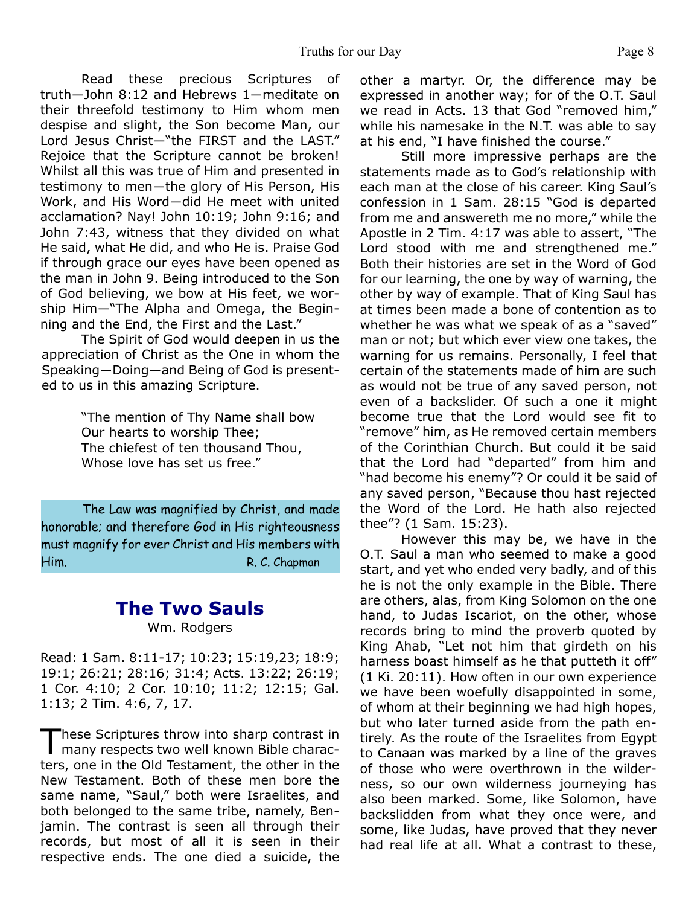Read these precious Scriptures of truth―John 8:12 and Hebrews 1―meditate on their threefold testimony to Him whom men despise and slight, the Son become Man, our Lord Jesus Christ-"the FIRST and the LAST." Rejoice that the Scripture cannot be broken! Whilst all this was true of Him and presented in testimony to men―the glory of His Person, His Work, and His Word-did He meet with united acclamation? Nay! John 10:19; John 9:16; and John 7:43, witness that they divided on what He said, what He did, and who He is. Praise God if through grace our eyes have been opened as the man in John 9. Being introduced to the Son of God believing, we bow at His feet, we worship Him―"The Alpha and Omega, the Beginning and the End, the First and the Last."

 The Spirit of God would deepen in us the appreciation of Christ as the One in whom the Speaking―Doing―and Being of God is presented to us in this amazing Scripture.

> "The mention of Thy Name shall bow Our hearts to worship Thee; The chiefest of ten thousand Thou, Whose love has set us free."

The Law was magnified by Christ, and made honorable; and therefore God in His righteousness must magnify for ever Christ and His members with Him. R. C. Chapman

#### **The Two Sauls** Wm. Rodgers

Read: 1 Sam. 8:11-17; 10:23; 15:19,23; 18:9; 19:1; 26:21; 28:16; 31:4; Acts. 13:22; 26:19; 1 Cor. 4:10; 2 Cor. 10:10; 11:2; 12:15; Gal. 1:13; 2 Tim. 4:6, 7, 17.

These Scriptures throw into sharp contrast in many respects two well known Bible charachese Scriptures throw into sharp contrast in ters, one in the Old Testament, the other in the New Testament. Both of these men bore the same name, "Saul," both were Israelites, and both belonged to the same tribe, namely, Benjamin. The contrast is seen all through their records, but most of all it is seen in their respective ends. The one died a suicide, the other a martyr. Or, the difference may be expressed in another way; for of the O.T. Saul we read in Acts. 13 that God "removed him," while his namesake in the N.T. was able to say at his end, "I have finished the course."

Still more impressive perhaps are the statements made as to God's relationship with each man at the close of his career. King Saul's confession in 1 Sam. 28:15 "God is departed from me and answereth me no more," while the Apostle in 2 Tim. 4:17 was able to assert, "The Lord stood with me and strengthened me." Both their histories are set in the Word of God for our learning, the one by way of warning, the other by way of example. That of King Saul has at times been made a bone of contention as to whether he was what we speak of as a "saved" man or not; but which ever view one takes, the warning for us remains. Personally, I feel that certain of the statements made of him are such as would not be true of any saved person, not even of a backslider. Of such a one it might become true that the Lord would see fit to "remove" him, as He removed certain members of the Corinthian Church. But could it be said that the Lord had "departed" from him and "had become his enemy"? Or could it be said of any saved person, "Because thou hast rejected the Word of the Lord. He hath also rejected thee"? (1 Sam. 15:23).

However this may be, we have in the O.T. Saul a man who seemed to make a good start, and yet who ended very badly, and of this he is not the only example in the Bible. There are others, alas, from King Solomon on the one hand, to Judas Iscariot, on the other, whose records bring to mind the proverb quoted by King Ahab, "Let not him that girdeth on his harness boast himself as he that putteth it off" (1 Ki. 20:11). How often in our own experience we have been woefully disappointed in some, of whom at their beginning we had high hopes, but who later turned aside from the path entirely. As the route of the Israelites from Egypt to Canaan was marked by a line of the graves of those who were overthrown in the wilderness, so our own wilderness journeying has also been marked. Some, like Solomon, have backslidden from what they once were, and some, like Judas, have proved that they never had real life at all. What a contrast to these,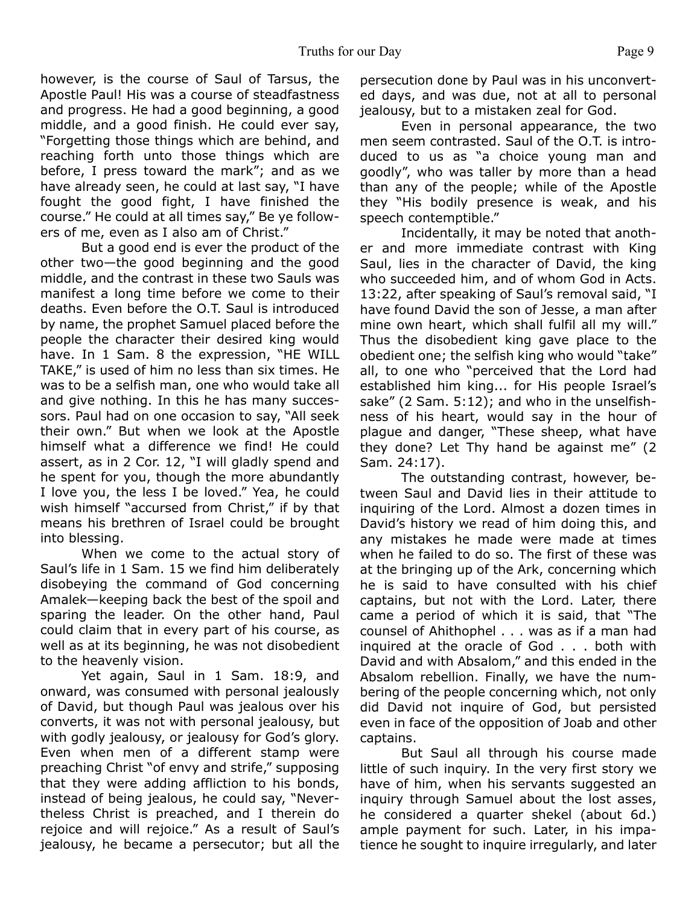however, is the course of Saul of Tarsus, the Apostle Paul! His was a course of steadfastness and progress. He had a good beginning, a good middle, and a good finish. He could ever say, "Forgetting those things which are behind, and reaching forth unto those things which are before, I press toward the mark"; and as we have already seen, he could at last say, "I have fought the good fight, I have finished the course." He could at all times say," Be ye followers of me, even as I also am of Christ."

But a good end is ever the product of the other two—the good beginning and the good middle, and the contrast in these two Sauls was manifest a long time before we come to their deaths. Even before the O.T. Saul is introduced by name, the prophet Samuel placed before the people the character their desired king would have. In 1 Sam. 8 the expression, "HE WILL TAKE," is used of him no less than six times. He was to be a selfish man, one who would take all and give nothing. In this he has many successors. Paul had on one occasion to say, "All seek their own." But when we look at the Apostle himself what a difference we find! He could assert, as in 2 Cor. 12, "I will gladly spend and he spent for you, though the more abundantly I love you, the less I be loved." Yea, he could wish himself "accursed from Christ," if by that means his brethren of Israel could be brought into blessing.

When we come to the actual story of Saul's life in 1 Sam. 15 we find him deliberately disobeying the command of God concerning Amalek—keeping back the best of the spoil and sparing the leader. On the other hand, Paul could claim that in every part of his course, as well as at its beginning, he was not disobedient to the heavenly vision.

Yet again, Saul in 1 Sam. 18:9, and onward, was consumed with personal jealously of David, but though Paul was jealous over his converts, it was not with personal jealousy, but with godly jealousy, or jealousy for God's glory. Even when men of a different stamp were preaching Christ "of envy and strife," supposing that they were adding affliction to his bonds, instead of being jealous, he could say, "Nevertheless Christ is preached, and I therein do rejoice and will rejoice." As a result of Saul's jealousy, he became a persecutor; but all the

persecution done by Paul was in his unconverted days, and was due, not at all to personal jealousy, but to a mistaken zeal for God.

Even in personal appearance, the two men seem contrasted. Saul of the O.T. is introduced to us as "a choice young man and goodly", who was taller by more than a head than any of the people; while of the Apostle they "His bodily presence is weak, and his speech contemptible."

Incidentally, it may be noted that another and more immediate contrast with King Saul, lies in the character of David, the king who succeeded him, and of whom God in Acts. 13:22, after speaking of Saul's removal said, "I have found David the son of Jesse, a man after mine own heart, which shall fulfil all my will." Thus the disobedient king gave place to the obedient one; the selfish king who would "take" all, to one who "perceived that the Lord had established him king... for His people Israel's sake" (2 Sam. 5:12); and who in the unselfishness of his heart, would say in the hour of plague and danger, "These sheep, what have they done? Let Thy hand be against me" (2 Sam. 24:17).

The outstanding contrast, however, between Saul and David lies in their attitude to inquiring of the Lord. Almost a dozen times in David's history we read of him doing this, and any mistakes he made were made at times when he failed to do so. The first of these was at the bringing up of the Ark, concerning which he is said to have consulted with his chief captains, but not with the Lord. Later, there came a period of which it is said, that "The counsel of Ahithophel . . . was as if a man had inquired at the oracle of God . . . both with David and with Absalom," and this ended in the Absalom rebellion. Finally, we have the numbering of the people concerning which, not only did David not inquire of God, but persisted even in face of the opposition of Joab and other captains.

But Saul all through his course made little of such inquiry. In the very first story we have of him, when his servants suggested an inquiry through Samuel about the lost asses, he considered a quarter shekel (about 6d.) ample payment for such. Later, in his impatience he sought to inquire irregularly, and later